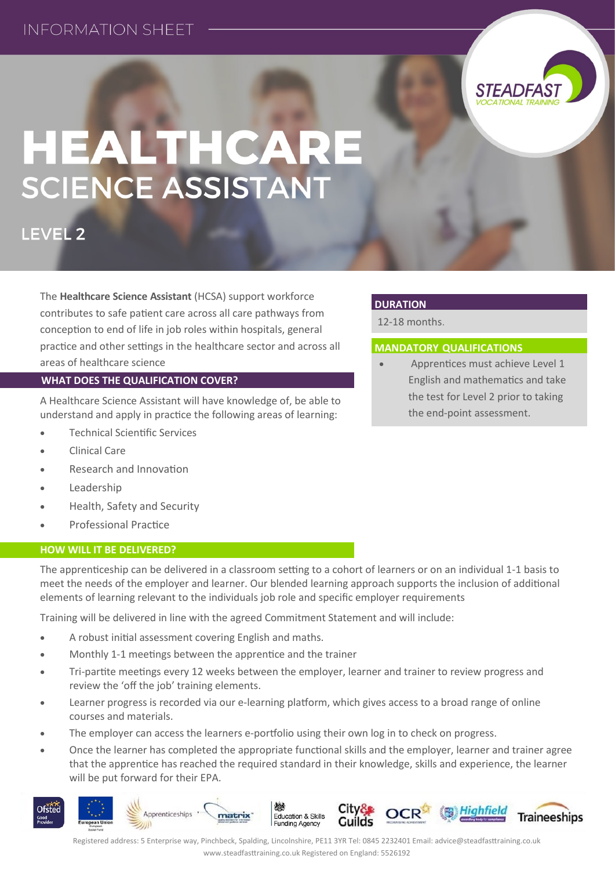# **INFORMATION SHEFT**



# HEALTHCARE<br>SCIENCE ASSISTANT

LEVEL<sub>2</sub>

The **Healthcare Science Assistant** (HCSA) support workforce contributes to safe patient care across all care pathways from conception to end of life in job roles within hospitals, general practice and other settings in the healthcare sector and across all areas of healthcare science

### **WHAT DOES THE QUALIFICATION COVER?**

A Healthcare Science Assistant will have knowledge of, be able to understand and apply in practice the following areas of learning:

- Technical Scientific Services
- Clinical Care
- Research and Innovation
- Leadership
- Health, Safety and Security
- Professional Practice

### **HOW WILL IT BE DELIVERED?**

## **DURATION**

12-18 months.

### **MANDATORY QUALIFICATIONS**

 Apprentices must achieve Level 1 English and mathematics and take the test for Level 2 prior to taking the end-point assessment.

The apprenticeship can be delivered in a classroom setting to a cohort of learners or on an individual 1-1 basis to meet the needs of the employer and learner. Our blended learning approach supports the inclusion of additional elements of learning relevant to the individuals job role and specific employer requirements

Training will be delivered in line with the agreed Commitment Statement and will include:

- A robust initial assessment covering English and maths.
- Monthly 1-1 meetings between the apprentice and the trainer
- Tri-partite meetings every 12 weeks between the employer, learner and trainer to review progress and review the 'off the job' training elements.
- Learner progress is recorded via our e-learning platform, which gives access to a broad range of online courses and materials.
- The employer can access the learners e-portfolio using their own log in to check on progress.
- Once the learner has completed the appropriate functional skills and the employer, learner and trainer agree that the apprentice has reached the required standard in their knowledge, skills and experience, the learner will be put forward for their EPA.



Registered address: 5 Enterprise way, Pinchbeck, Spalding, Lincolnshire, PE11 3YR Tel: 0845 2232401 Email: advice@steadfasttraining.co.uk www.steadfasttraining.co.uk Registered on England: 5526192